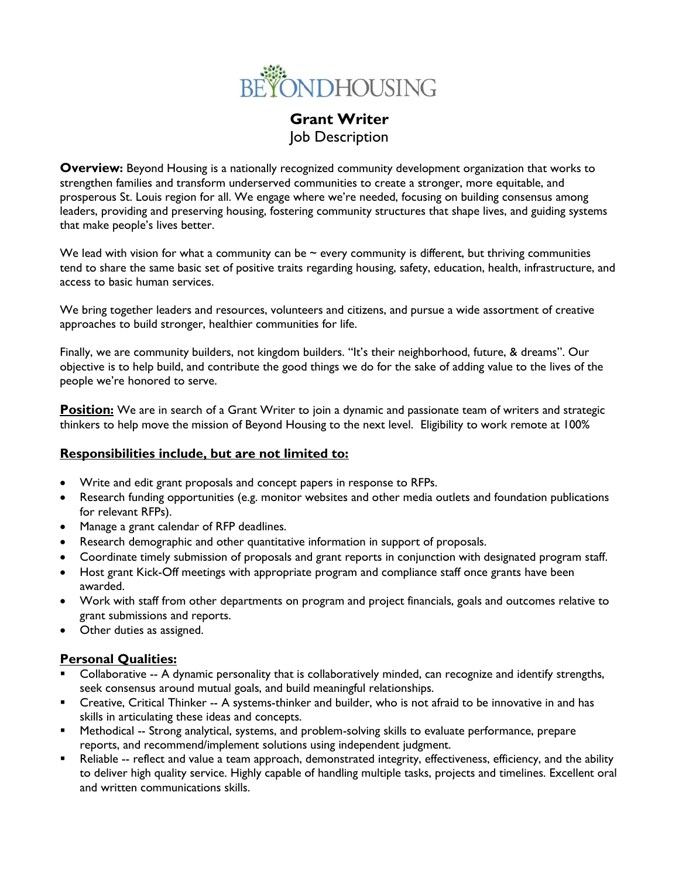

# **Grant Writer**  Job Description

**Overview:** Beyond Housing is a nationally recognized community development organization that works to strengthen families and transform underserved communities to create a stronger, more equitable, and prosperous St. Louis region for all. We engage where we're needed, focusing on building consensus among leaders, providing and preserving housing, fostering community structures that shape lives, and guiding systems that make people's lives better.

We lead with vision for what a community can be  $\sim$  every community is different, but thriving communities tend to share the same basic set of positive traits regarding housing, safety, education, health, infrastructure, and access to basic human services.

We bring together leaders and resources, volunteers and citizens, and pursue a wide assortment of creative approaches to build stronger, healthier communities for life.

Finally, we are community builders, not kingdom builders. "It's their neighborhood, future, & dreams". Our objective is to help build, and contribute the good things we do for the sake of adding value to the lives of the people we're honored to serve.

**Position:** We are in search of a Grant Writer to join a dynamic and passionate team of writers and strategic thinkers to help move the mission of Beyond Housing to the next level. Eligibility to work remote at 100%

# **Responsibilities include, but are not limited to:**

- Write and edit grant proposals and concept papers in response to RFPs.
- Research funding opportunities (e.g. monitor websites and other media outlets and foundation publications for relevant RFPs).
- Manage a grant calendar of RFP deadlines.
- Research demographic and other quantitative information in support of proposals.
- Coordinate timely submission of proposals and grant reports in conjunction with designated program staff.
- Host grant Kick-Off meetings with appropriate program and compliance staff once grants have been awarded.
- Work with staff from other departments on program and project financials, goals and outcomes relative to grant submissions and reports.
- Other duties as assigned.

### **Personal Qualities:**

- Collaborative -- A dynamic personality that is collaboratively minded, can recognize and identify strengths, seek consensus around mutual goals, and build meaningful relationships.
- Creative, Critical Thinker -- A systems-thinker and builder, who is not afraid to be innovative in and has skills in articulating these ideas and concepts.
- Methodical -- Strong analytical, systems, and problem-solving skills to evaluate performance, prepare reports, and recommend/implement solutions using independent judgment.
- Reliable -- reflect and value a team approach, demonstrated integrity, effectiveness, efficiency, and the ability to deliver high quality service. Highly capable of handling multiple tasks, projects and timelines. Excellent oral and written communications skills.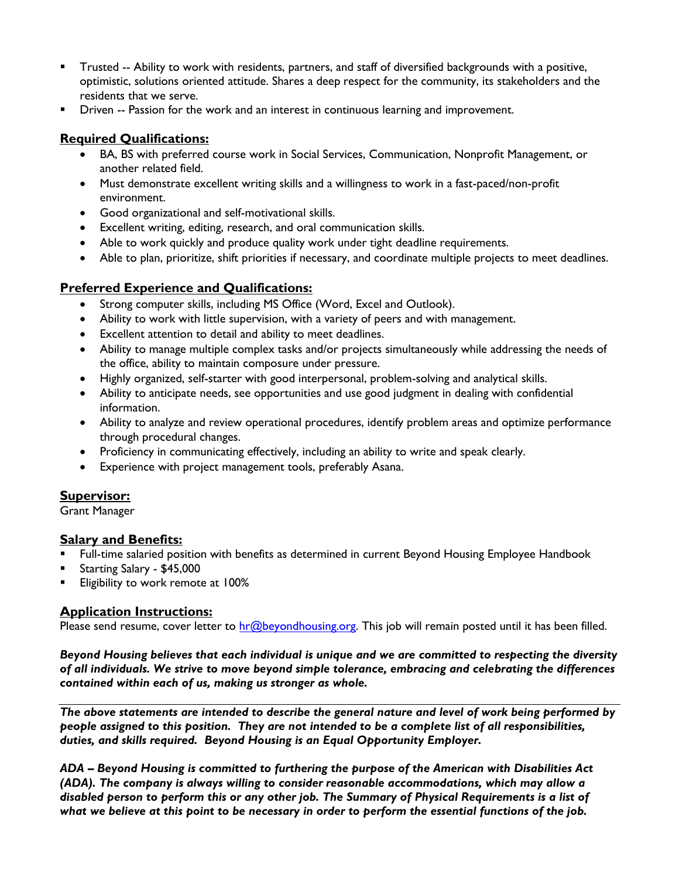- Trusted -- Ability to work with residents, partners, and staff of diversified backgrounds with a positive, optimistic, solutions oriented attitude. Shares a deep respect for the community, its stakeholders and the residents that we serve.
- Driven -- Passion for the work and an interest in continuous learning and improvement.

## **Required Qualifications:**

- BA, BS with preferred course work in Social Services, Communication, Nonprofit Management, or another related field.
- Must demonstrate excellent writing skills and a willingness to work in a fast-paced/non-profit environment.
- Good organizational and self-motivational skills.
- Excellent writing, editing, research, and oral communication skills.
- Able to work quickly and produce quality work under tight deadline requirements.
- Able to plan, prioritize, shift priorities if necessary, and coordinate multiple projects to meet deadlines.

## **Preferred Experience and Qualifications:**

- Strong computer skills, including MS Office (Word, Excel and Outlook).
- Ability to work with little supervision, with a variety of peers and with management.
- Excellent attention to detail and ability to meet deadlines.
- Ability to manage multiple complex tasks and/or projects simultaneously while addressing the needs of the office, ability to maintain composure under pressure.
- Highly organized, self-starter with good interpersonal, problem-solving and analytical skills.
- Ability to anticipate needs, see opportunities and use good judgment in dealing with confidential information.
- Ability to analyze and review operational procedures, identify problem areas and optimize performance through procedural changes.
- Proficiency in communicating effectively, including an ability to write and speak clearly.
- Experience with project management tools, preferably Asana.

# **Supervisor:**

Grant Manager

### **Salary and Benefits:**

- Full-time salaried position with benefits as determined in current Beyond Housing Employee Handbook
- Starting Salary \$45,000
- Eligibility to work remote at 100%

### **Application Instructions:**

Please send resume, cover letter to [hr@beyondhousing.org.](mailto:hr@beyondhousing.org) This job will remain posted until it has been filled.

*Beyond Housing believes that each individual is unique and we are committed to respecting the diversity of all individuals. We strive to move beyond simple tolerance, embracing and celebrating the differences contained within each of us, making us stronger as whole.*

*The above statements are intended to describe the general nature and level of work being performed by people assigned to this position. They are not intended to be a complete list of all responsibilities, duties, and skills required. Beyond Housing is an Equal Opportunity Employer.*

*ADA – Beyond Housing is committed to furthering the purpose of the American with Disabilities Act (ADA). The company is always willing to consider reasonable accommodations, which may allow a disabled person to perform this or any other job. The Summary of Physical Requirements is a list of what we believe at this point to be necessary in order to perform the essential functions of the job.*